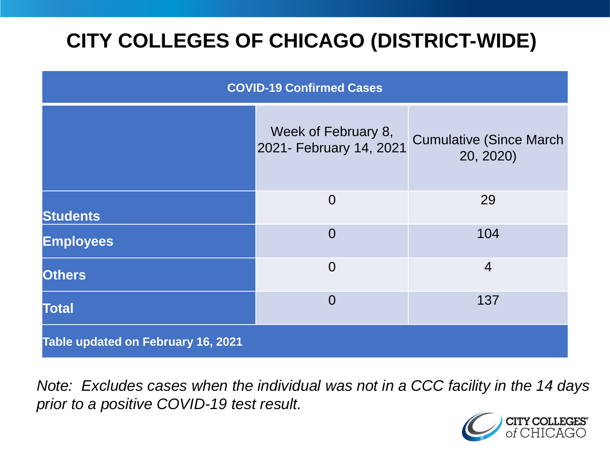# **CITY COLLEGES OF CHICAGO (DISTRICT-WIDE)**

| <b>COVID-19 Confirmed Cases</b>    |                                                |                                              |
|------------------------------------|------------------------------------------------|----------------------------------------------|
|                                    | Week of February 8,<br>2021- February 14, 2021 | <b>Cumulative (Since March)</b><br>20, 2020) |
| <b>Students</b>                    | $\overline{0}$                                 | 29                                           |
| <b>Employees</b>                   | $\overline{0}$                                 | 104                                          |
| <b>Others</b>                      | $\overline{0}$                                 | $\overline{4}$                               |
| <b>Total</b>                       | $\overline{0}$                                 | 137                                          |
| Table updated on February 16, 2021 |                                                |                                              |

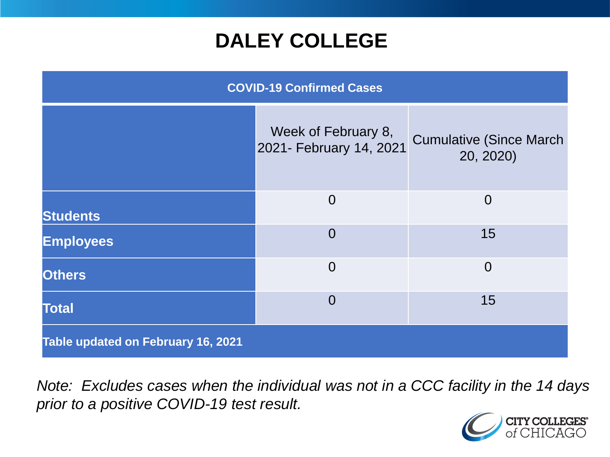### **DALEY COLLEGE**

| <b>COVID-19 Confirmed Cases</b>    |                                                |                                              |
|------------------------------------|------------------------------------------------|----------------------------------------------|
|                                    | Week of February 8,<br>2021- February 14, 2021 | <b>Cumulative (Since March)</b><br>20, 2020) |
| <b>Students</b>                    | $\overline{0}$                                 | $\overline{0}$                               |
| <b>Employees</b>                   | $\overline{0}$                                 | 15                                           |
| <b>Others</b>                      | $\overline{0}$                                 | $\overline{0}$                               |
| <b>Total</b>                       | $\overline{0}$                                 | 15                                           |
| Table updated on February 16, 2021 |                                                |                                              |

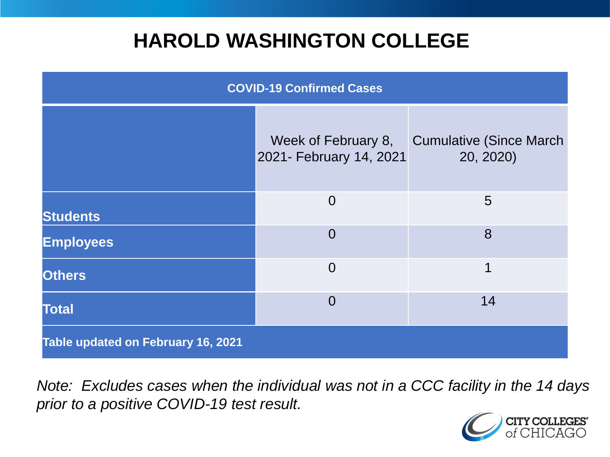### **HAROLD WASHINGTON COLLEGE**

| <b>COVID-19 Confirmed Cases</b>    |                                                |                                              |
|------------------------------------|------------------------------------------------|----------------------------------------------|
|                                    | Week of February 8,<br>2021- February 14, 2021 | <b>Cumulative (Since March)</b><br>20, 2020) |
| <b>Students</b>                    | $\overline{0}$                                 | 5                                            |
| <b>Employees</b>                   | $\Omega$                                       | 8                                            |
| <b>Others</b>                      | $\overline{0}$                                 | 1                                            |
| <b>Total</b>                       | $\Omega$                                       | 14                                           |
| Table updated on February 16, 2021 |                                                |                                              |

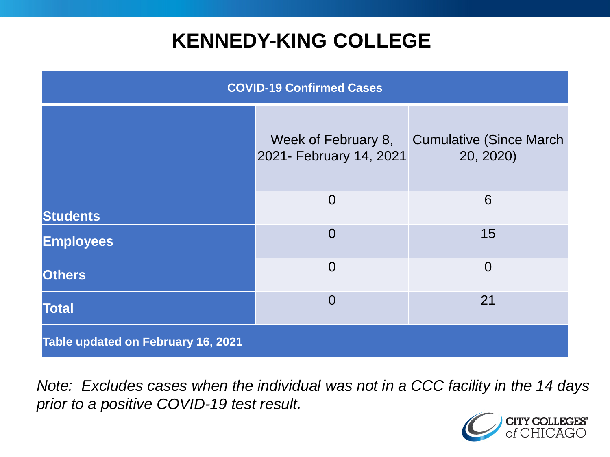### **KENNEDY-KING COLLEGE**

| <b>COVID-19 Confirmed Cases</b>    |                                                |                                              |
|------------------------------------|------------------------------------------------|----------------------------------------------|
|                                    | Week of February 8,<br>2021- February 14, 2021 | <b>Cumulative (Since March)</b><br>20, 2020) |
| <b>Students</b>                    | $\overline{0}$                                 | 6                                            |
| <b>Employees</b>                   | $\overline{0}$                                 | 15                                           |
| <b>Others</b>                      | $\overline{0}$                                 | $\overline{0}$                               |
| <b>Total</b>                       | $\overline{0}$                                 | 21                                           |
| Table updated on February 16, 2021 |                                                |                                              |

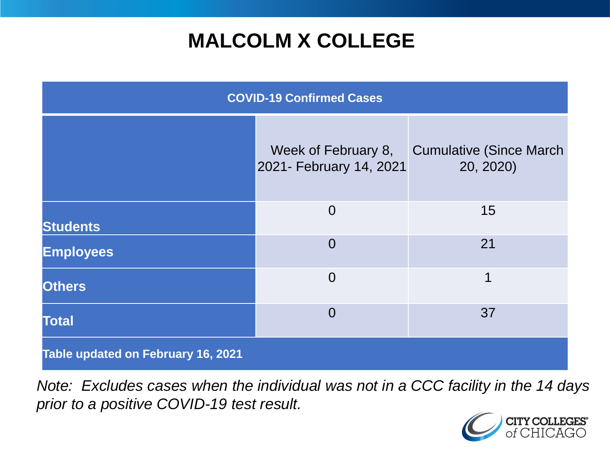# **MALCOLM X COLLEGE**

| <b>COVID-19 Confirmed Cases</b>    |                                                |                                              |
|------------------------------------|------------------------------------------------|----------------------------------------------|
|                                    | Week of February 8,<br>2021- February 14, 2021 | <b>Cumulative (Since March)</b><br>20, 2020) |
| <b>Students</b>                    | $\overline{0}$                                 | 15                                           |
| <b>Employees</b>                   | $\Omega$                                       | 21                                           |
| <b>Others</b>                      | $\overline{0}$                                 | 1                                            |
| <b>Total</b>                       | $\Omega$                                       | 37                                           |
| Table updated on February 16, 2021 |                                                |                                              |

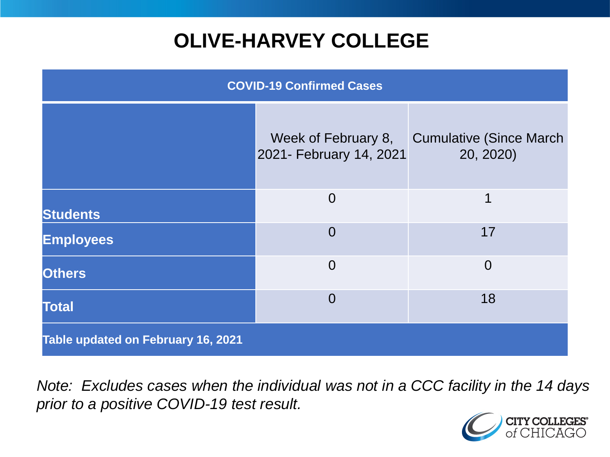# **OLIVE-HARVEY COLLEGE**

| <b>COVID-19 Confirmed Cases</b>    |                                                |                                              |
|------------------------------------|------------------------------------------------|----------------------------------------------|
|                                    | Week of February 8,<br>2021- February 14, 2021 | <b>Cumulative (Since March)</b><br>20, 2020) |
| <b>Students</b>                    | $\overline{0}$                                 | 1                                            |
| <b>Employees</b>                   | $\Omega$                                       | 17                                           |
| <b>Others</b>                      | $\overline{0}$                                 | $\overline{0}$                               |
| <b>Total</b>                       | $\Omega$                                       | 18                                           |
| Table updated on February 16, 2021 |                                                |                                              |

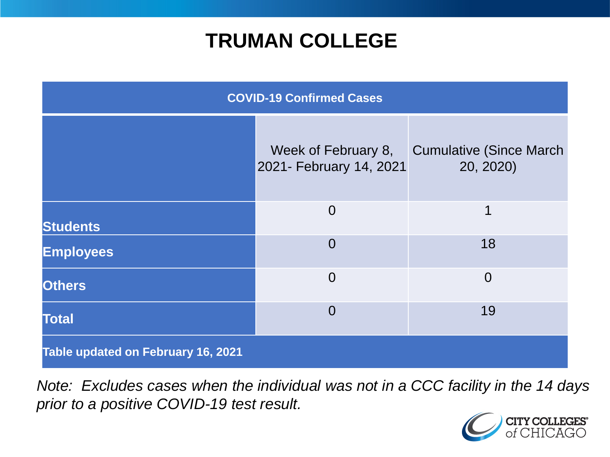### **TRUMAN COLLEGE**

| <b>COVID-19 Confirmed Cases</b>    |                                                |                                              |
|------------------------------------|------------------------------------------------|----------------------------------------------|
|                                    | Week of February 8,<br>2021- February 14, 2021 | <b>Cumulative (Since March)</b><br>20, 2020) |
| <b>Students</b>                    | $\overline{0}$                                 | 1                                            |
| <b>Employees</b>                   | $\overline{0}$                                 | 18                                           |
| <b>Others</b>                      | $\overline{0}$                                 | $\overline{0}$                               |
| <b>Total</b>                       | $\overline{0}$                                 | 19                                           |
| Table updated on February 16, 2021 |                                                |                                              |

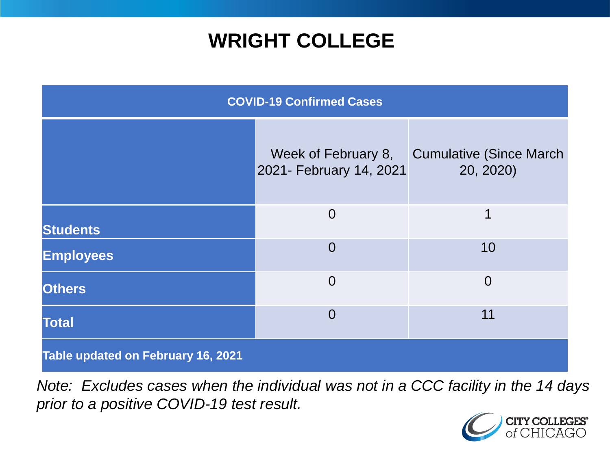### **WRIGHT COLLEGE**

| <b>COVID-19 Confirmed Cases</b>    |                                                |                                              |
|------------------------------------|------------------------------------------------|----------------------------------------------|
|                                    | Week of February 8,<br>2021- February 14, 2021 | <b>Cumulative (Since March)</b><br>20, 2020) |
| <b>Students</b>                    | $\overline{0}$                                 | 1                                            |
| <b>Employees</b>                   | $\overline{0}$                                 | 10                                           |
| <b>Others</b>                      | $\overline{0}$                                 | $\overline{0}$                               |
| <b>Total</b>                       | $\overline{0}$                                 | 11                                           |
| Table updated on February 16, 2021 |                                                |                                              |